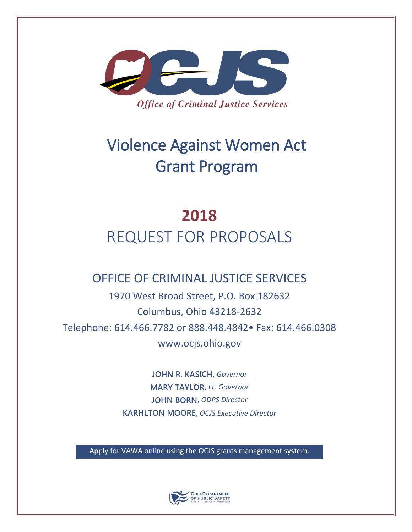

# Violence Against Women Act Grant Program

# **2018** REQUEST FOR PROPOSALS

# OFFICE OF CRIMINAL JUSTICE SERVICES

1970 West Broad Street, P.O. Box 182632 Columbus, Ohio 43218-2632 Telephone: 614.466.7782 or 888.448.4842• Fax: 614.466.0308 www.ocjs.ohio.gov

> **JOHN R. KASICH**, *Governor* **MARY TAYLOR**, *Lt. Governor* **JOHN BORN**, *ODPS Director*  **KARHLTON MOORE**, *OCJS Executive Director*

Apply for VAWA online using the OCJS grants management system.

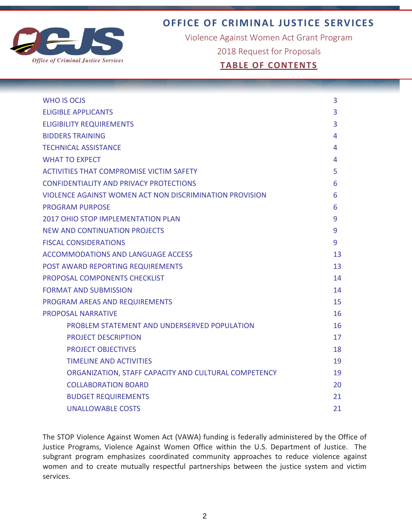

**OFFICE OF CRIMINAL JUSTICE SERVICES**

Violence Against Women Act Grant Program

2018 Request for Proposals

# **TABLE OF CONTENTS**

| <b>WHO IS OCJS</b>                                      | 3  |
|---------------------------------------------------------|----|
| <b>ELIGIBLE APPLICANTS</b>                              |    |
| <b>ELIGIBILITY REQUIREMENTS</b>                         |    |
| <b>BIDDERS TRAINING</b>                                 |    |
| <b>TECHNICAL ASSISTANCE</b>                             | 4  |
| <b>WHAT TO EXPECT</b>                                   | 4  |
| <b>ACTIVITIES THAT COMPROMISE VICTIM SAFETY</b>         | 5  |
| <b>CONFIDENTIALITY AND PRIVACY PROTECTIONS</b>          | 6  |
| VIOLENCE AGAINST WOMEN ACT NON DISCRIMINATION PROVISION | 6  |
| <b>PROGRAM PURPOSE</b>                                  | 6  |
| 2017 OHIO STOP IMPLEMENTATION PLAN                      | 9  |
| <b>NEW AND CONTINUATION PROJECTS</b>                    | 9  |
| <b>FISCAL CONSIDERATIONS</b>                            | 9  |
| <b>ACCOMMODATIONS AND LANGUAGE ACCESS</b>               | 13 |
| POST AWARD REPORTING REQUIREMENTS                       | 13 |
| PROPOSAL COMPONENTS CHECKLIST                           | 14 |
| <b>FORMAT AND SUBMISSION</b>                            | 14 |
| PROGRAM AREAS AND REQUIREMENTS                          | 15 |
| <b>PROPOSAL NARRATIVE</b>                               | 16 |
| PROBLEM STATEMENT AND UNDERSERVED POPULATION            | 16 |
| <b>PROJECT DESCRIPTION</b>                              | 17 |
| <b>PROJECT OBJECTIVES</b>                               | 18 |
| <b>TIMELINE AND ACTIVITIES</b>                          | 19 |
| ORGANIZATION, STAFF CAPACITY AND CULTURAL COMPETENCY    | 19 |
| <b>COLLABORATION BOARD</b>                              | 20 |
| <b>BUDGET REQUIREMENTS</b>                              | 21 |
| <b>UNALLOWABLE COSTS</b>                                | 21 |

The STOP Violence Against Women Act (VAWA) funding is federally administered by the Office of Justice Programs, Violence Against Women Office within the U.S. Department of Justice. The subgrant program emphasizes coordinated community approaches to reduce violence against women and to create mutually respectful partnerships between the justice system and victim services.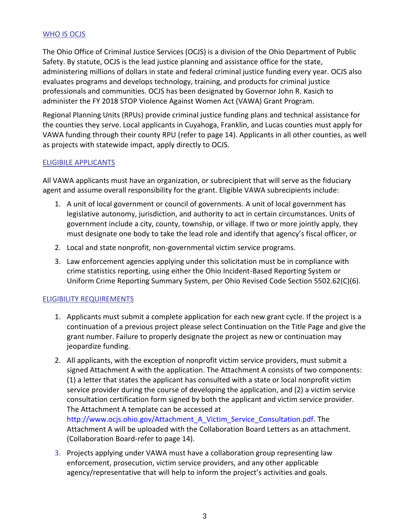#### WHO IS OCJS

The Ohio Office of Criminal Justice Services (OCJS) is a division of the Ohio Department of Public Safety. By statute, OCJS is the lead justice planning and assistance office for the state, administering millions of dollars in state and federal criminal justice funding every year. OCJS also evaluates programs and develops technology, training, and products for criminal justice professionals and communities. OCJS has been designated by Governor John R. Kasich to administer the FY 2018 STOP Violence Against Women Act (VAWA) Grant Program.

Regional Planning Units (RPUs) provide criminal justice funding plans and technical assistance for the counties they serve. Local applicants in Cuyahoga, Franklin, and Lucas counties must apply for VAWA funding through their county RPU (refer to page 14). Applicants in all other counties, as well as projects with statewide impact, apply directly to OCJS.

#### ELIGIBILE APPLICANTS

All VAWA applicants must have an organization, or subrecipient that will serve as the fiduciary agent and assume overall responsibility for the grant. Eligible VAWA subrecipients include:

- 1. A unit of local government or council of governments. A unit of local government has legislative autonomy, jurisdiction, and authority to act in certain circumstances. Units of government include a city, county, township, or village. If two or more jointly apply, they must designate one body to take the lead role and identify that agency's fiscal officer, or
- 2. Local and state nonprofit, non-governmental victim service programs.
- 3. Law enforcement agencies applying under this solicitation must be in compliance with crime statistics reporting, using either the Ohio Incident-Based Reporting System or Uniform Crime Reporting Summary System, per Ohio Revised Code Section 5502.62(C)(6).

# ELIGIBILITY REQUIREMENTS

- 1. Applicants must submit a complete application for each new grant cycle. If the project is a continuation of a previous project please select Continuation on the Title Page and give the grant number. Failure to properly designate the project as new or continuation may jeopardize funding.
- 2. All applicants, with the exception of nonprofit victim service providers, must submit a signed Attachment A with the application. The Attachment A consists of two components: (1) a letter that states the applicant has consulted with a state or local nonprofit victim service provider during the course of developing the application, and (2) a victim service consultation certification form signed by both the applicant and victim service provider. The Attachment A template can be accessed at [http://www.ocjs.ohio.gov/Attachment\\_A\\_Victim\\_Service\\_Consultation.pdf.](http://www.ocjs.ohio.gov/Attachment_A_Victim_Service_Consultation.pdf) The Attachment A will be uploaded with the Collaboration Board Letters as an attachment. (Collaboration Board-refer to page 14).
- 3. Projects applying under VAWA must have a collaboration group representing law enforcement, prosecution, victim service providers, and any other applicable agency/representative that will help to inform the project's activities and goals.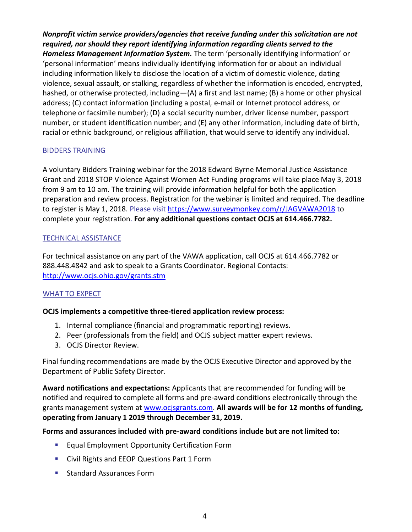*Nonprofit victim service providers/agencies that receive funding under this solicitation are not required, nor should they report identifying information regarding clients served to the Homeless Management Information System.* The term 'personally identifying information' or 'personal information' means individually identifying information for or about an individual including information likely to disclose the location of a victim of domestic violence, dating violence, sexual assault, or stalking, regardless of whether the information is encoded, encrypted, hashed, or otherwise protected, including—(A) a first and last name; (B) a home or other physical address; (C) contact information (including a postal, e-mail or Internet protocol address, or telephone or facsimile number); (D) a social security number, driver license number, passport number, or student identification number; and (E) any other information, including date of birth, racial or ethnic background, or religious affiliation, that would serve to identify any individual.

#### BIDDERS TRAINING

A voluntary Bidders Training webinar for the 2018 Edward Byrne Memorial Justice Assistance Grant and 2018 STOP Violence Against Women Act Funding programs will take place May 3, 2018 from 9 am to 10 am. The training will provide information helpful for both the application preparation and review process. Registration for the webinar is limited and required. The deadline to register is May 1, 2018. Please visit [https://www.surveymonkey.com/r/JAGVAWA2018](https://na01.safelinks.protection.outlook.com/?url=http%3A%2F%2Flinks.govdelivery.com%3A80%2Ftrack%3Ftype%3Dclick%26enid%3DZWFzPTEmbXNpZD0mYXVpZD0mbWFpbGluZ2lkPTIwMTgwNDA5Ljg4MTA4ODYxJm1lc3NhZ2VpZD1NREItUFJELUJVTC0yMDE4MDQwOS44ODEwODg2MSZkYXRhYmFzZWlkPTEwMDEmc2VyaWFsPTE2OTE3NTAwJmVtYWlsaWQ9amFsLW11YmFzbGF0QGRwcy5vaGlvLmdvdiZ1c2VyaWQ9amFsLW11YmFzbGF0QGRwcy5vaGlvLmdvdiZ0YXJnZXRpZD0mZmw9Jm12aWQ9JmV4dHJhPSYmJg%3D%3D%26%26%26101%26%26%26https%3A%2F%2Fwww.surveymonkey.com%2Fr%2FJAGVAWA2018&data=02%7C01%7Cjal-mubaslat%40dps.ohio.gov%7C5568e1139df24d2b79b408d59e2189b5%7C50f8fcc494d84f0784eb36ed57c7c8a2%7C0%7C0%7C636588789289334357&sdata=9FJ4lJskDuX6CvCu9mHsBGVo6ztRqCqCz3s0dykBvXc%3D&reserved=0) to complete your registration. **For any additional questions contact OCJS at 614.466.7782.**

#### TECHNICAL ASSISTANCE

For technical assistance on any part of the VAWA application, call OCJS at 614.466.7782 or 888.448.4842 and ask to speak to a Grants Coordinator. Regional Contacts: <http://www.ocjs.ohio.gov/grants.stm>

# WHAT TO EXPECT

#### **OCJS implements a competitive three-tiered application review process:**

- 1. Internal compliance (financial and programmatic reporting) reviews.
- 2. Peer (professionals from the field) and OCJS subject matter expert reviews.
- 3. OCJS Director Review.

Final funding recommendations are made by the OCJS Executive Director and approved by the Department of Public Safety Director.

**Award notifications and expectations:** Applicants that are recommended for funding will be notified and required to complete all forms and pre-award conditions electronically through the grants management system at [www.ocjsgrants.com.](http://www.ocjsgrants.com/) **All awards will be for 12 months of funding, operating from January 1 2019 through December 31, 2019.**

#### **Forms and assurances included with pre-award conditions include but are not limited to:**

- **Equal Employment Opportunity Certification Form**
- **EXECT:** Civil Rights and EEOP Questions Part 1 Form
- **Standard Assurances Form**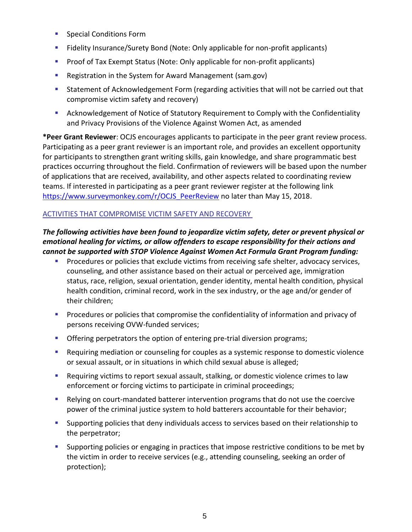- **Special Conditions Form**
- Fidelity Insurance/Surety Bond (Note: Only applicable for non-profit applicants)
- **Proof of Tax Exempt Status (Note: Only applicable for non-profit applicants)**
- Registration in the System for Award Management (sam.gov)
- Statement of Acknowledgement Form (regarding activities that will not be carried out that compromise victim safety and recovery)
- Acknowledgement of Notice of Statutory Requirement to Comply with the Confidentiality and Privacy Provisions of the Violence Against Women Act, as amended

**\*Peer Grant Reviewer**: OCJS encourages applicants to participate in the peer grant review process. Participating as a peer grant reviewer is an important role, and provides an excellent opportunity for participants to strengthen grant writing skills, gain knowledge, and share programmatic best practices occurring throughout the field. Confirmation of reviewers will be based upon the number of applications that are received, availability, and other aspects related to coordinating review teams. If interested in participating as a peer grant reviewer register at the following link https://www.surveymonkey.com/r/OCJS PeerReview no later than May 15, 2018.

# ACTIVITIES THAT COMPROMISE VICTIM SAFETY AND RECOVERY

# *The following activities have been found to jeopardize victim safety, deter or prevent physical or emotional healing for victims, or allow offenders to escape responsibility for their actions and cannot be supported with STOP Violence Against Women Act Formula Grant Program funding:*

- Procedures or policies that exclude victims from receiving safe shelter, advocacy services, counseling, and other assistance based on their actual or perceived age, immigration status, race, religion, sexual orientation, gender identity, mental health condition, physical health condition, criminal record, work in the sex industry, or the age and/or gender of their children;
- **Procedures or policies that compromise the confidentiality of information and privacy of** persons receiving OVW-funded services;
- **C** Offering perpetrators the option of entering pre-trial diversion programs;
- Requiring mediation or counseling for couples as a systemic response to domestic violence or sexual assault, or in situations in which child sexual abuse is alleged;
- Requiring victims to report sexual assault, stalking, or domestic violence crimes to law enforcement or forcing victims to participate in criminal proceedings;
- Relying on court-mandated batterer intervention programs that do not use the coercive power of the criminal justice system to hold batterers accountable for their behavior;
- Supporting policies that deny individuals access to services based on their relationship to the perpetrator;
- Supporting policies or engaging in practices that impose restrictive conditions to be met by the victim in order to receive services (e.g., attending counseling, seeking an order of protection);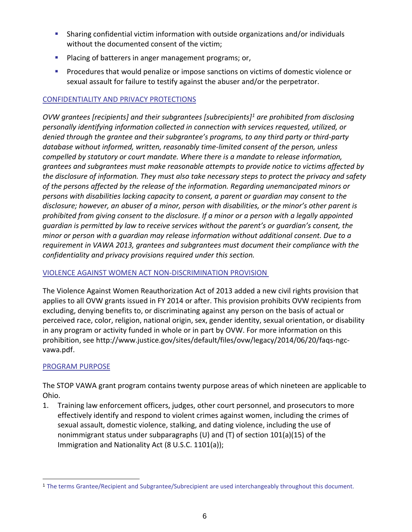- Sharing confidential victim information with outside organizations and/or individuals without the documented consent of the victim;
- **Placing of batterers in anger management programs; or,**
- **Procedures that would penalize or impose sanctions on victims of domestic violence or** sexual assault for failure to testify against the abuser and/or the perpetrator.

# CONFIDENTIALITY AND PRIVACY PROTECTIONS

*OVW grantees [recipients] and their subgrantees [subrecipients]<sup>1</sup> are prohibited from disclosing personally identifying information collected in connection with services requested, utilized, or denied through the grantee and their subgrantee's programs, to any third party or third-party database without informed, written, reasonably time-limited consent of the person, unless compelled by statutory or court mandate. Where there is a mandate to release information, grantees and subgrantees must make reasonable attempts to provide notice to victims affected by the disclosure of information. They must also take necessary steps to protect the privacy and safety of the persons affected by the release of the information. Regarding unemancipated minors or persons with disabilities lacking capacity to consent, a parent or guardian may consent to the disclosure; however, an abuser of a minor, person with disabilities, or the minor's other parent is prohibited from giving consent to the disclosure. If a minor or a person with a legally appointed guardian is permitted by law to receive services without the parent's or guardian's consent, the minor or person with a guardian may release information without additional consent. Due to a requirement in VAWA 2013, grantees and subgrantees must document their compliance with the confidentiality and privacy provisions required under this section.*

# VIOLENCE AGAINST WOMEN ACT NON-DISCRIMINATION PROVISION

The Violence Against Women Reauthorization Act of 2013 added a new civil rights provision that applies to all OVW grants issued in FY 2014 or after. This provision prohibits OVW recipients from excluding, denying benefits to, or discriminating against any person on the basis of actual or perceived race, color, religion, national origin, sex, gender identity, sexual orientation, or disability in any program or activity funded in whole or in part by OVW. For more information on this prohibition, se[e http://www.justice.gov/sites/default/files/ovw/legacy/2014/06/20/faqs-ngc](http://www.justice.gov/sites/default/files/ovw/legacy/2014/06/20/faqs-ngc-vawa.pdf)[vawa.pdf.](http://www.justice.gov/sites/default/files/ovw/legacy/2014/06/20/faqs-ngc-vawa.pdf)

# PROGRAM PURPOSE

-

The STOP VAWA grant program contains twenty purpose areas of which nineteen are applicable to Ohio.

1. Training law enforcement officers, judges, other court personnel, and prosecutors to more effectively identify and respond to violent crimes against women, including the crimes of sexual assault, domestic violence, stalking, and dating violence, including the use of nonimmigrant status under subparagraphs (U) and (T) of section 101(a)(15) of the Immigration and Nationality Act (8 U.S.C. 1101(a));

<sup>1</sup> The terms Grantee/Recipient and Subgrantee/Subrecipient are used interchangeably throughout this document.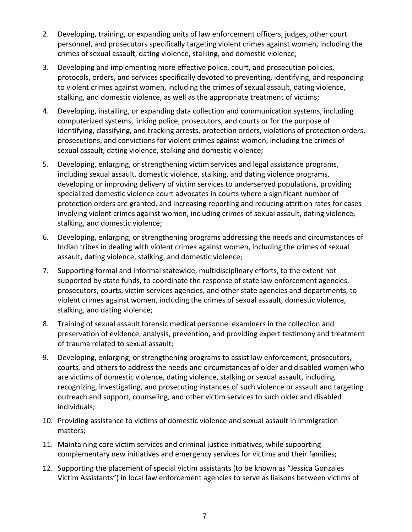- 2. Developing, training, or expanding units of law enforcement officers, judges, other court personnel, and prosecutors specifically targeting violent crimes against women, including the crimes of sexual assault, dating violence, stalking, and domestic violence;
- 3. Developing and implementing more effective police, court, and prosecution policies, protocols, orders, and services specifically devoted to preventing, identifying, and responding to violent crimes against women, including the crimes of sexual assault, dating violence, stalking, and domestic violence, as well as the appropriate treatment of victims;
- 4. Developing, installing, or expanding data collection and communication systems, including computerized systems, linking police, prosecutors, and courts or for the purpose of identifying, classifying, and tracking arrests, protection orders, violations of protection orders, prosecutions, and convictions for violent crimes against women, including the crimes of sexual assault, dating violence, stalking and domestic violence;
- 5. Developing, enlarging, or strengthening victim services and legal assistance programs, including sexual assault, domestic violence, stalking, and dating violence programs, developing or improving delivery of victim services to underserved populations, providing specialized domestic violence court advocates in courts where a significant number of protection orders are granted, and increasing reporting and reducing attrition rates for cases involving violent crimes against women, including crimes of sexual assault, dating violence, stalking, and domestic violence;
- 6. Developing, enlarging, or strengthening programs addressing the needs and circumstances of Indian tribes in dealing with violent crimes against women, including the crimes of sexual assault, dating violence, stalking, and domestic violence;
- 7. Supporting formal and informal statewide, multidisciplinary efforts, to the extent not supported by state funds, to coordinate the response of state law enforcement agencies, prosecutors, courts, victim services agencies, and other state agencies and departments, to violent crimes against women, including the crimes of sexual assault, domestic violence, stalking, and dating violence;
- 8. Training of sexual assault forensic medical personnel examiners in the collection and preservation of evidence, analysis, prevention, and providing expert testimony and treatment of trauma related to sexual assault;
- 9. Developing, enlarging, or strengthening programs to assist law enforcement, prosecutors, courts, and others to address the needs and circumstances of older and disabled women who are victims of domestic violence, dating violence, stalking or sexual assault, including recognizing, investigating, and prosecuting instances of such violence or assault and targeting outreach and support, counseling, and other victim services to such older and disabled individuals;
- 10. Providing assistance to victims of domestic violence and sexual assault in immigration matters;
- 11. Maintaining core victim services and criminal justice initiatives, while supporting complementary new initiatives and emergency services for victims and their families;
- 12. Supporting the placement of special victim assistants (to be known as "Jessica Gonzales Victim Assistants") in local law enforcement agencies to serve as liaisons between victims of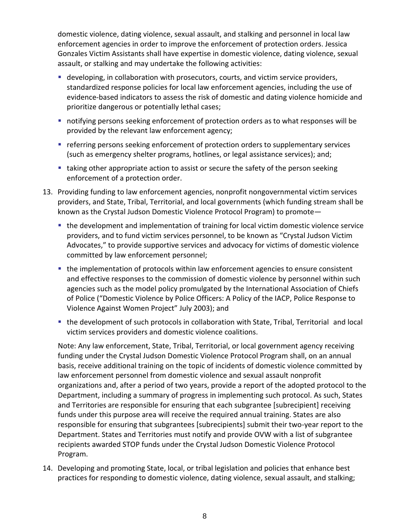domestic violence, dating violence, sexual assault, and stalking and personnel in local law enforcement agencies in order to improve the enforcement of protection orders. Jessica Gonzales Victim Assistants shall have expertise in domestic violence, dating violence, sexual assault, or stalking and may undertake the following activities:

- developing, in collaboration with prosecutors, courts, and victim service providers, standardized response policies for local law enforcement agencies, including the use of evidence-based indicators to assess the risk of domestic and dating violence homicide and prioritize dangerous or potentially lethal cases;
- notifying persons seeking enforcement of protection orders as to what responses will be provided by the relevant law enforcement agency;
- referring persons seeking enforcement of protection orders to supplementary services (such as emergency shelter programs, hotlines, or legal assistance services); and;
- **taking other appropriate action to assist or secure the safety of the person seeking** enforcement of a protection order.
- 13. Providing funding to law enforcement agencies, nonprofit nongovernmental victim services providers, and State, Tribal, Territorial, and local governments (which funding stream shall be known as the Crystal Judson Domestic Violence Protocol Program) to promote
	- the development and implementation of training for local victim domestic violence service providers, and to fund victim services personnel, to be known as "Crystal Judson Victim Advocates," to provide supportive services and advocacy for victims of domestic violence committed by law enforcement personnel;
	- the implementation of protocols within law enforcement agencies to ensure consistent and effective responses to the commission of domestic violence by personnel within such agencies such as the model policy promulgated by the International Association of Chiefs of Police ("Domestic Violence by Police Officers: A Policy of the IACP, Police Response to Violence Against Women Project" July 2003); and
	- the development of such protocols in collaboration with State, Tribal, Territorial and local victim services providers and domestic violence coalitions.

Note: Any law enforcement, State, Tribal, Territorial, or local government agency receiving funding under the Crystal Judson Domestic Violence Protocol Program shall, on an annual basis, receive additional training on the topic of incidents of domestic violence committed by law enforcement personnel from domestic violence and sexual assault nonprofit organizations and, after a period of two years, provide a report of the adopted protocol to the Department, including a summary of progress in implementing such protocol. As such, States and Territories are responsible for ensuring that each subgrantee [subrecipient] receiving funds under this purpose area will receive the required annual training. States are also responsible for ensuring that subgrantees [subrecipients] submit their two-year report to the Department. States and Territories must notify and provide OVW with a list of subgrantee recipients awarded STOP funds under the Crystal Judson Domestic Violence Protocol Program.

14. Developing and promoting State, local, or tribal legislation and policies that enhance best practices for responding to domestic violence, dating violence, sexual assault, and stalking;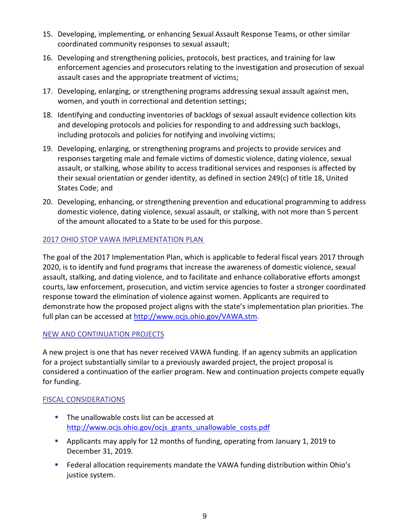- 15. Developing, implementing, or enhancing Sexual Assault Response Teams, or other similar coordinated community responses to sexual assault;
- 16. Developing and strengthening policies, protocols, best practices, and training for law enforcement agencies and prosecutors relating to the investigation and prosecution of sexual assault cases and the appropriate treatment of victims;
- 17. Developing, enlarging, or strengthening programs addressing sexual assault against men, women, and youth in correctional and detention settings;
- 18. Identifying and conducting inventories of backlogs of sexual assault evidence collection kits and developing protocols and policies for responding to and addressing such backlogs, including protocols and policies for notifying and involving victims;
- 19. Developing, enlarging, or strengthening programs and projects to provide services and responses targeting male and female victims of domestic violence, dating violence, sexual assault, or stalking, whose ability to access traditional services and responses is affected by their sexual orientation or gender identity, as defined in section 249(c) of title 18, United States Code; and
- 20. Developing, enhancing, or strengthening prevention and educational programming to address domestic violence, dating violence, sexual assault, or stalking, with not more than 5 percent of the amount allocated to a State to be used for this purpose.

# 2017 OHIO STOP VAWA IMPLEMENTATION PLAN

The goal of the 2017 Implementation Plan, which is applicable to federal fiscal years 2017 through 2020, is to identify and fund programs that increase the awareness of domestic violence, sexual assault, stalking, and dating violence, and to facilitate and enhance collaborative efforts amongst courts, law enforcement, prosecution, and victim service agencies to foster a stronger coordinated response toward the elimination of violence against women. Applicants are required to demonstrate how the proposed project aligns with the state's implementation plan priorities. The full plan can be accessed at<http://www.ocjs.ohio.gov/VAWA.stm>.

# NEW AND CONTINUATION PROJECTS

A new project is one that has never received VAWA funding. If an agency submits an application for a project substantially similar to a previously awarded project, the project proposal is considered a continuation of the earlier program. New and continuation projects compete equally for funding.

# FISCAL CONSIDERATIONS

- The unallowable costs list can be accessed at [http://www.ocjs.ohio.gov/ocjs\\_grants\\_unallowable\\_costs.pdf](http://www.ocjs.ohio.gov/ocjs_grants_unallowable_costs.pdf)
- Applicants may apply for 12 months of funding, operating from January 1, 2019 to December 31, 2019.
- **Federal allocation requirements mandate the VAWA funding distribution within Ohio's** justice system.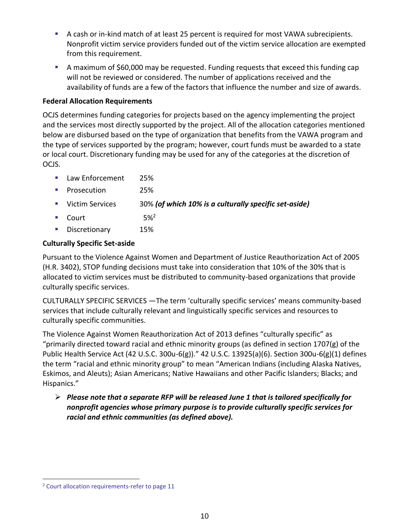- A cash or in-kind match of at least 25 percent is required for most VAWA subrecipients. Nonprofit victim service providers funded out of the victim service allocation are exempted from this requirement.
- A maximum of \$60,000 may be requested. Funding requests that exceed this funding cap will not be reviewed or considered. The number of applications received and the availability of funds are a few of the factors that influence the number and size of awards.

# **Federal Allocation Requirements**

OCJS determines funding categories for projects based on the agency implementing the project and the services most directly supported by the project. All of the allocation categories mentioned below are disbursed based on the type of organization that benefits from the VAWA program and the type of services supported by the program; however, court funds must be awarded to a state or local court. Discretionary funding may be used for any of the categories at the discretion of OCJS.

- **Law Enforcement** 25%
- **Prosecution** 25%
- Victim Services 30% *(of which 10% is a culturally specific set-aside)*
- Court  $5\%^2$
- **Discretionary** 15%

# **Culturally Specific Set-aside**

Pursuant to the Violence Against Women and Department of Justice Reauthorization Act of 2005 (H.R. 3402), STOP funding decisions must take into consideration that 10% of the 30% that is allocated to victim services must be distributed to community-based organizations that provide culturally specific services.

CULTURALLY SPECIFIC SERVICES —The term 'culturally specific services' means community-based services that include culturally relevant and linguistically specific services and resources to culturally specific communities.

The Violence Against Women Reauthorization Act of 2013 defines "culturally specific" as "primarily directed toward racial and ethnic minority groups (as defined in section 1707(g) of the Public Health Service Act (42 U.S.C. 300u-6(g))." 42 U.S.C. 13925(a)(6). Section 300u-6(g)(1) defines the term "racial and ethnic minority group" to mean "American Indians (including Alaska Natives, Eskimos, and Aleuts); Asian Americans; Native Hawaiians and other Pacific Islanders; Blacks; and Hispanics."

 *Please note that a separate RFP will be released June 1 that is tailored specifically for nonprofit agencies whose primary purpose is to provide culturally specific services for racial and ethnic communities (as defined above).* 

-

<sup>&</sup>lt;sup>2</sup> Court allocation requirements-refer to page 11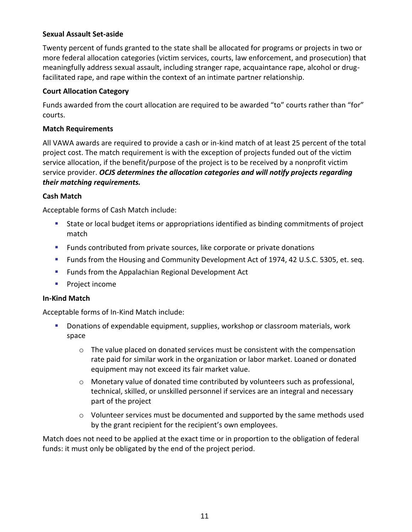#### **Sexual Assault Set-aside**

Twenty percent of funds granted to the state shall be allocated for programs or projects in two or more federal allocation categories (victim services, courts, law enforcement, and prosecution) that meaningfully address sexual assault, including stranger rape, acquaintance rape, alcohol or drugfacilitated rape, and rape within the context of an intimate partner relationship.

#### **Court Allocation Category**

Funds awarded from the court allocation are required to be awarded "to" courts rather than "for" courts.

#### **Match Requirements**

All VAWA awards are required to provide a cash or in-kind match of at least 25 percent of the total project cost. The match requirement is with the exception of projects funded out of the victim service allocation, if the benefit/purpose of the project is to be received by a nonprofit victim service provider. *OCJS determines the allocation categories and will notify projects regarding their matching requirements.*

# **Cash Match**

Acceptable forms of Cash Match include:

- State or local budget items or appropriations identified as binding commitments of project match
- **Funds contributed from private sources, like corporate or private donations**
- **Funds from the Housing and Community Development Act of 1974, 42 U.S.C. 5305, et. seq.**
- **Funds from the Appalachian Regional Development Act**
- **Project income**

# **In-Kind Match**

Acceptable forms of In-Kind Match include:

- Donations of expendable equipment, supplies, workshop or classroom materials, work space
	- $\circ$  The value placed on donated services must be consistent with the compensation rate paid for similar work in the organization or labor market. Loaned or donated equipment may not exceed its fair market value.
	- $\circ$  Monetary value of donated time contributed by volunteers such as professional, technical, skilled, or unskilled personnel if services are an integral and necessary part of the project
	- $\circ$  Volunteer services must be documented and supported by the same methods used by the grant recipient for the recipient's own employees.

Match does not need to be applied at the exact time or in proportion to the obligation of federal funds: it must only be obligated by the end of the project period.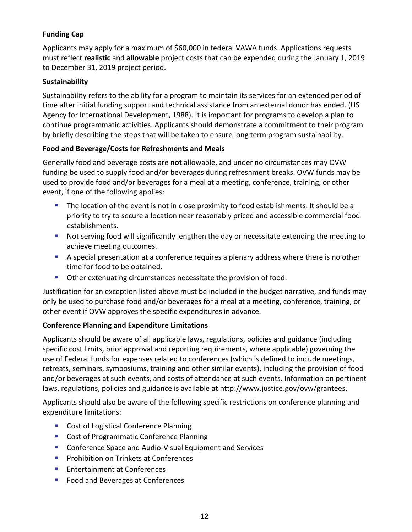# **Funding Cap**

Applicants may apply for a maximum of \$60,000 in federal VAWA funds. Applications requests must reflect **realistic** and **allowable** project costs that can be expended during the January 1, 2019 to December 31, 2019 project period.

# **Sustainability**

Sustainability refers to the ability for a program to maintain its services for an extended period of time after initial funding support and technical assistance from an external donor has ended. (US Agency for International Development, 1988). It is important for programs to develop a plan to continue programmatic activities. Applicants should demonstrate a commitment to their program by briefly describing the steps that will be taken to ensure long term program sustainability.

# **Food and Beverage/Costs for Refreshments and Meals**

Generally food and beverage costs are **not** allowable, and under no circumstances may OVW funding be used to supply food and/or beverages during refreshment breaks. OVW funds may be used to provide food and/or beverages for a meal at a meeting, conference, training, or other event, if one of the following applies:

- The location of the event is not in close proximity to food establishments. It should be a priority to try to secure a location near reasonably priced and accessible commercial food establishments.
- **Not serving food will significantly lengthen the day or necessitate extending the meeting to** achieve meeting outcomes.
- A special presentation at a conference requires a plenary address where there is no other time for food to be obtained.
- **Detimary 1** Other extenuating circumstances necessitate the provision of food.

Justification for an exception listed above must be included in the budget narrative, and funds may only be used to purchase food and/or beverages for a meal at a meeting, conference, training, or other event if OVW approves the specific expenditures in advance.

# **Conference Planning and Expenditure Limitations**

Applicants should be aware of all applicable laws, regulations, policies and guidance (including specific cost limits, prior approval and reporting requirements, where applicable) governing the use of Federal funds for expenses related to conferences (which is defined to include meetings, retreats, seminars, symposiums, training and other similar events), including the provision of food and/or beverages at such events, and costs of attendance at such events. Information on pertinent laws, regulations, policies and guidance is available at [http://www.justice.gov/ovw/grantees.](http://www.justice.gov/ovw/grantees)

Applicants should also be aware of the following specific restrictions on conference planning and expenditure limitations:

- **Cost of Logistical Conference Planning**
- **Cost of Programmatic Conference Planning**
- **EXP** Conference Space and Audio-Visual Equipment and Services
- **Prohibition on Trinkets at Conferences**
- **Entertainment at Conferences**
- **Food and Beverages at Conferences**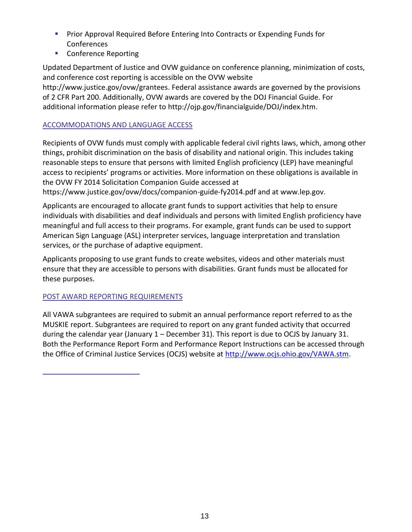- **Prior Approval Required Before Entering Into Contracts or Expending Funds for Conferences**
- **Conference Reporting**

Updated Department of Justice and OVW guidance on conference planning, minimization of costs, and conference cost reporting is accessible on the OVW website [http://www.justice.gov/ovw/grantees.](http://www.justice.gov/ovw/grantees) Federal assistance awards are governed by the provisions of 2 CFR Part 200. Additionally, OVW awards are covered by the DOJ Financial Guide. For additional information please refer to [http://ojp.gov/financialguide/DOJ/index.htm.](http://ojp.gov/financialguide/DOJ/index.htm)

# ACCOMMODATIONS AND LANGUAGE ACCESS

Recipients of OVW funds must comply with applicable federal civil rights laws, which, among other things, prohibit discrimination on the basis of disability and national origin. This includes taking reasonable steps to ensure that persons with limited English proficiency (LEP) have meaningful access to recipients' programs or activities. More information on these obligations is available in the OVW FY 2014 Solicitation Companion Guide accessed at <https://www.justice.gov/ovw/docs/companion-guide-fy2014.pdf> and a[t www.lep.gov.](http://www.lep.gov/)

Applicants are encouraged to allocate grant funds to support activities that help to ensure individuals with disabilities and deaf individuals and persons with limited English proficiency have meaningful and full access to their programs. For example, grant funds can be used to support American Sign Language (ASL) interpreter services, language interpretation and translation services, or the purchase of adaptive equipment.

Applicants proposing to use grant funds to create websites, videos and other materials must ensure that they are accessible to persons with disabilities. Grant funds must be allocated for these purposes.

# POST AWARD REPORTING REQUIREMENTS

All VAWA subgrantees are required to submit an annual performance report referred to as the MUSKIE report. Subgrantees are required to report on any grant funded activity that occurred during the calendar year (January 1 – December 31). This report is due to OCJS by January 31. Both the Performance Report Form and Performance Report Instructions can be accessed through the Office of Criminal Justice Services (OCJS) website at [http://www.ocjs.ohio.gov/VAWA.stm.](http://www.ocjs.ohio.gov/VAWA.stm)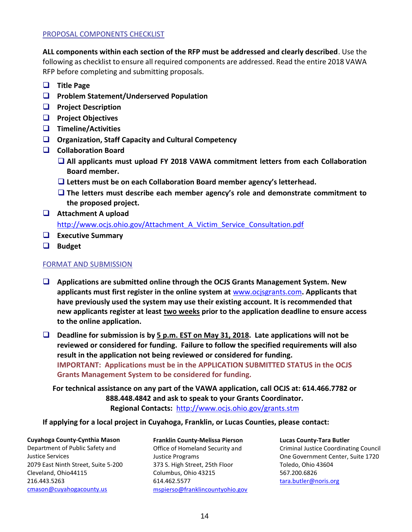#### PROPOSAL COMPONENTS CHECKLIST

**ALL components within each section of the RFP must be addressed and clearly described**. Use the following as checklist to ensure all required components are addressed. Read the entire 2018 VAWA RFP before completing and submitting proposals.

- **Title Page**
- **Problem Statement/Underserved Population**
- **Project Description**
- **Project Objectives**
- **Timeline/Activities**
- **Organization, Staff Capacity and Cultural Competency**
- **Collaboration Board**
	- **All applicants must upload FY 2018 VAWA commitment letters from each Collaboration Board member.**
	- **Letters must be on each Collaboration Board member agency's letterhead.**
	- **The letters must describe each member agency's role and demonstrate commitment to the proposed project.**
- **Attachment A upload**  http://www.ocjs.ohio.gov/Attachment A Victim Service Consultation.pdf
- **Executive Summary**
- **Budget**

#### FORMAT AND SUBMISSION

- **Applications are submitted online through the OCJS Grants Management System. New applicants must first register in the online system at** [www.ocjsgrants.com](http://www.ocjsgrants.com/)**. Applicants that have previously used the system may use their existing account. It is recommended that new applicants register at least two weeks prior to the application deadline to ensure access to the online application.**
- **Deadline for submission is by 5 p.m. EST on May 31, 2018. Late applications will not be reviewed or considered for funding. Failure to follow the specified requirements will also result in the application not being reviewed or considered for funding. IMPORTANT: Applications must be in the APPLICATION SUBMITTED STATUS in the OCJS Grants Management System to be considered for funding.**

**For technical assistance on any part of the VAWA application, call OCJS at: 614.466.7782 or 888.448.4842 and ask to speak to your Grants Coordinator. Regional Contacts:** <http://www.ocjs.ohio.gov/grants.stm>

**If applying for a local project in Cuyahoga, Franklin, or Lucas Counties, please contact:**

**Cuyahoga County-Cynthia Mason** Department of Public Safety and Justice Services 2079 East Ninth Street, Suite 5-200 Cleveland, Ohio44115 216.443.5263 [cmason@cuyahogacounty.us](mailto:cmason@cuyahogacounty.us)

**Franklin County-Melissa Pierson** Office of Homeland Security and Justice Programs 373 S. High Street, 25th Floor Columbus, Ohio 43215 614.462.5577 [mspierso@franklincountyohio.gov](mailto:mspierso@franklincountyohio.gov)

**Lucas County-Tara Butler** Criminal Justice Coordinating Council One Government Center, Suite 1720 Toledo, Ohio 43604 567.200.6826 [tara.butler@noris.org](mailto:tara.butler@noris.org)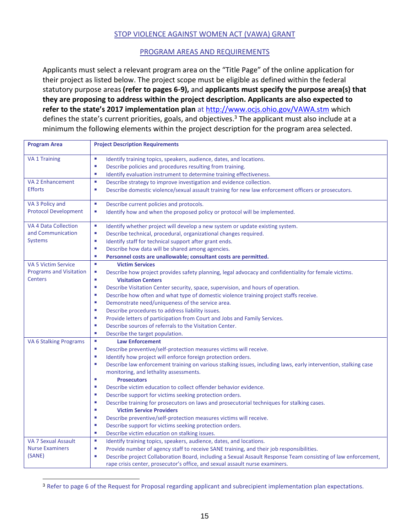#### STOP VIOLENCE AGAINST WOMEN ACT (VAWA) GRANT

#### PROGRAM AREAS AND REQUIREMENTS

Applicants must select a relevant program area on the "Title Page" of the online application for their project as listed below. The project scope must be eligible as defined within the federal statutory purpose areas **(refer to pages 6-9),** and **applicants must specify the purpose area(s) that they are proposing to address within the project description. Applicants are also expected to refer to the state's 2017 implementation plan** at<http://www.ocjs.ohio.gov/VAWA.stm> which defines the state's current priorities, goals, and objectives.<sup>3</sup> The applicant must also include at a minimum the following elements within the project description for the program area selected.

| <b>Program Area</b>            | <b>Project Description Requirements</b>                                                                              |
|--------------------------------|----------------------------------------------------------------------------------------------------------------------|
| <b>VA 1 Training</b>           | a.<br>Identify training topics, speakers, audience, dates, and locations.                                            |
|                                | Describe policies and procedures resulting from training.<br>×                                                       |
|                                | ×<br>Identify evaluation instrument to determine training effectiveness.                                             |
| <b>VA 2 Enhancement</b>        | a.<br>Describe strategy to improve investigation and evidence collection.                                            |
| <b>Efforts</b>                 | L.<br>Describe domestic violence/sexual assault training for new law enforcement officers or prosecutors.            |
| VA 3 Policy and                | $\mathcal{L}_{\mathcal{A}}$<br>Describe current policies and protocols.                                              |
| <b>Protocol Development</b>    | Identify how and when the proposed policy or protocol will be implemented.<br>×,                                     |
| <b>VA 4 Data Collection</b>    | ×<br>Identify whether project will develop a new system or update existing system.                                   |
| and Communication              | L.<br>Describe technical, procedural, organizational changes required.                                               |
| <b>Systems</b>                 | Identify staff for technical support after grant ends.<br>×                                                          |
|                                | Describe how data will be shared among agencies.<br>×                                                                |
|                                | Personnel costs are unallowable; consultant costs are permitted.<br>×                                                |
| <b>VA 5 Victim Service</b>     | a.<br><b>Victim Services</b>                                                                                         |
| <b>Programs and Visitation</b> | Describe how project provides safety planning, legal advocacy and confidentiality for female victims.<br>I.          |
| <b>Centers</b>                 | ù,<br><b>Visitation Centers</b>                                                                                      |
|                                | ×<br>Describe Visitation Center security, space, supervision, and hours of operation.                                |
|                                | Describe how often and what type of domestic violence training project staffs receive.<br>×                          |
|                                | Demonstrate need/uniqueness of the service area.<br>×                                                                |
|                                | Describe procedures to address liability issues.<br>×                                                                |
|                                | Provide letters of participation from Court and Jobs and Family Services.<br>×                                       |
|                                | Describe sources of referrals to the Visitation Center.<br>×                                                         |
|                                | u,<br>Describe the target population.                                                                                |
| <b>VA 6 Stalking Programs</b>  | ×<br><b>Law Enforcement</b>                                                                                          |
|                                | Describe preventive/self-protection measures victims will receive.<br>×                                              |
|                                | Identify how project will enforce foreign protection orders.<br>×                                                    |
|                                | Describe law enforcement training on various stalking issues, including laws, early intervention, stalking case<br>× |
|                                | monitoring, and lethality assessments.                                                                               |
|                                | ×<br><b>Prosecutors</b>                                                                                              |
|                                | Describe victim education to collect offender behavior evidence.<br>×                                                |
|                                | Describe support for victims seeking protection orders.<br>×                                                         |
|                                | ×<br>Describe training for prosecutors on laws and prosecutorial techniques for stalking cases.                      |
|                                | <b>Victim Service Providers</b><br>ш                                                                                 |
|                                | Describe preventive/self-protection measures victims will receive.<br>×                                              |
|                                | Describe support for victims seeking protection orders.<br>×                                                         |
|                                | ×<br>Describe victim education on stalking issues.                                                                   |
| VA 7 Sexual Assault            | $\mathcal{L}_{\mathcal{A}}$<br>Identify training topics, speakers, audience, dates, and locations.                   |
| <b>Nurse Examiners</b>         | Provide number of agency staff to receive SANE training, and their job responsibilities.<br>×                        |
| (SANE)                         | Describe project Collaboration Board, including a Sexual Assault Response Team consisting of law enforcement,<br>×   |
|                                | rape crisis center, prosecutor's office, and sexual assault nurse examiners.                                         |

<sup>3</sup> Refer to page 6 of the Request for Proposal regarding applicant and subrecipient implementation plan expectations.

-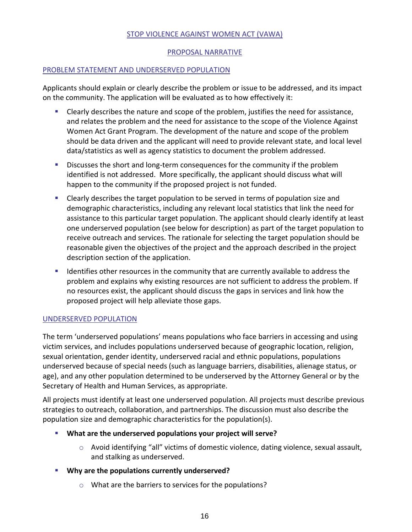#### STOP VIOLENCE AGAINST WOMEN ACT (VAWA)

#### PROPOSAL NARRATIVE

#### PROBLEM STATEMENT AND UNDERSERVED POPULATION

Applicants should explain or clearly describe the problem or issue to be addressed, and its impact on the community. The application will be evaluated as to how effectively it:

- Clearly describes the nature and scope of the problem, justifies the need for assistance, and relates the problem and the need for assistance to the scope of the Violence Against Women Act Grant Program. The development of the nature and scope of the problem should be data driven and the applicant will need to provide relevant state, and local level data/statistics as well as agency statistics to document the problem addressed.
- Discusses the short and long-term consequences for the community if the problem identified is not addressed. More specifically, the applicant should discuss what will happen to the community if the proposed project is not funded.
- Clearly describes the target population to be served in terms of population size and demographic characteristics, including any relevant local statistics that link the need for assistance to this particular target population. The applicant should clearly identify at least one underserved population (see below for description) as part of the target population to receive outreach and services. The rationale for selecting the target population should be reasonable given the objectives of the project and the approach described in the project description section of the application.
- **If all identifies other resources in the community that are currently available to address the** problem and explains why existing resources are not sufficient to address the problem. If no resources exist, the applicant should discuss the gaps in services and link how the proposed project will help alleviate those gaps.

#### UNDERSERVED POPULATION

The term 'underserved populations' means populations who face barriers in accessing and using victim services, and includes populations underserved because of geographic location, religion, sexual orientation, gender identity, underserved racial and ethnic populations, populations underserved because of special needs (such as language barriers, disabilities, alienage status, or age), and any other population determined to be underserved by the Attorney General or by the Secretary of Health and Human Services, as appropriate.

All projects must identify at least one underserved population. All projects must describe previous strategies to outreach, collaboration, and partnerships. The discussion must also describe the population size and demographic characteristics for the population(s).

- **What are the underserved populations your project will serve?**
	- $\circ$  Avoid identifying "all" victims of domestic violence, dating violence, sexual assault, and stalking as underserved.
- **Why are the populations currently underserved?**
	- o What are the barriers to services for the populations?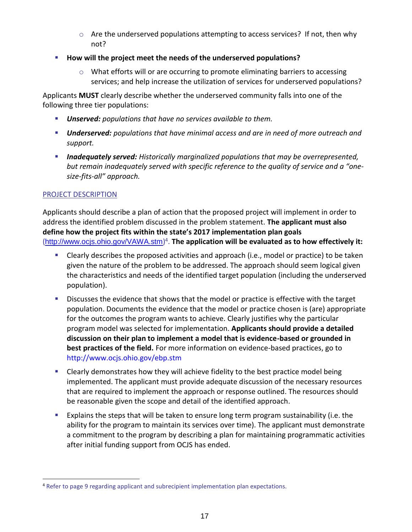- $\circ$  Are the underserved populations attempting to access services? If not, then why not?
- **How will the project meet the needs of the underserved populations?** 
	- $\circ$  What efforts will or are occurring to promote eliminating barriers to accessing services; and help increase the utilization of services for underserved populations?

Applicants **MUST** clearly describe whether the underserved community falls into one of the following three tier populations:

- *Unserved: populations that have no services available to them.*
- *Underserved: populations that have minimal access and are in need of more outreach and support.*
- *Inadequately served: Historically marginalized populations that may be overrepresented, but remain inadequately served with specific reference to the quality of service and a "onesize-fits-all" approach.*

# PROJECT DESCRIPTION

-

Applicants should describe a plan of action that the proposed project will implement in order to address the identified problem discussed in the problem statement. **The applicant must also define how the project fits within the state's 2017 implementation plan goals** (<http://www.ocjs.ohio.gov/VAWA.stm>) 4 . **The application will be evaluated as to how effectively it:**

- Clearly describes the proposed activities and approach (i.e., model or practice) to be taken given the nature of the problem to be addressed. The approach should seem logical given the characteristics and needs of the identified target population (including the underserved population).
- **Discusses the evidence that shows that the model or practice is effective with the target** population. Documents the evidence that the model or practice chosen is (are) appropriate for the outcomes the program wants to achieve. Clearly justifies why the particular program model was selected for implementation. **Applicants should provide a detailed discussion on their plan to implement a model that is evidence-based or grounded in best practices of the field.** For more information on evidence-based practices, go to <http://www.ocjs.ohio.gov/ebp.stm>
- **EXEC** Clearly demonstrates how they will achieve fidelity to the best practice model being implemented. The applicant must provide adequate discussion of the necessary resources that are required to implement the approach or response outlined. The resources should be reasonable given the scope and detail of the identified approach.
- Explains the steps that will be taken to ensure long term program sustainability (i.e. the ability for the program to maintain its services over time). The applicant must demonstrate a commitment to the program by describing a plan for maintaining programmatic activities after initial funding support from OCJS has ended.

<sup>&</sup>lt;sup>4</sup> Refer to page 9 regarding applicant and subrecipient implementation plan expectations.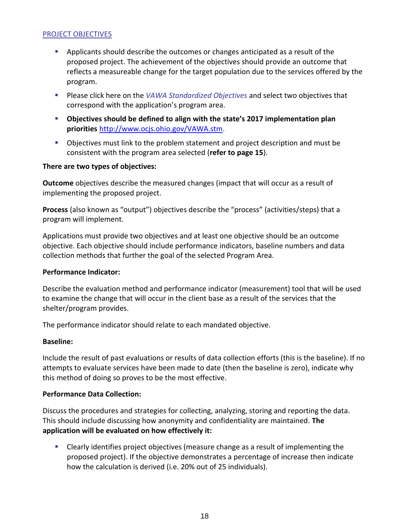#### PROJECT OBJECTIVES

- **Applicants should describe the outcomes or changes anticipated as a result of the** proposed project. The achievement of the objectives should provide an outcome that reflects a measureable change for the target population due to the services offered by the program.
- Please click here on the *[VAWA Standardized Objectives](http://publicsafety.ohio.gov/links/ocjs-VAWA-2015-Objectives.docx)* and select two objectives that correspond with the application's program area.
- **Objectives should be defined to align with the state's 2017 implementation plan priorities** <http://www.ocjs.ohio.gov/VAWA.stm>.
- Objectives must link to the problem statement and project description and must be consistent with the program area selected (**refer to page 15**).

#### **There are two types of objectives:**

**Outcome** objectives describe the measured changes (impact that will occur as a result of implementing the proposed project.

**Process** (also known as "output") objectives describe the "process" (activities/steps) that a program will implement.

Applications must provide two objectives and at least one objective should be an outcome objective. Each objective should include performance indicators, baseline numbers and data collection methods that further the goal of the selected Program Area.

#### **Performance Indicator:**

Describe the evaluation method and performance indicator (measurement) tool that will be used to examine the change that will occur in the client base as a result of the services that the shelter/program provides.

The performance indicator should relate to each mandated objective.

#### **Baseline:**

Include the result of past evaluations or results of data collection efforts (this is the baseline). If no attempts to evaluate services have been made to date (then the baseline is zero), indicate why this method of doing so proves to be the most effective.

#### **Performance Data Collection:**

Discuss the procedures and strategies for collecting, analyzing, storing and reporting the data. This should include discussing how anonymity and confidentiality are maintained. **The application will be evaluated on how effectively it:**

 Clearly identifies project objectives (measure change as a result of implementing the proposed project). If the objective demonstrates a percentage of increase then indicate how the calculation is derived (i.e. 20% out of 25 individuals).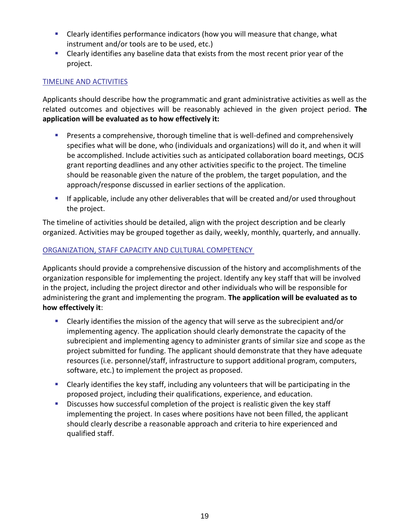- Clearly identifies performance indicators (how you will measure that change, what instrument and/or tools are to be used, etc.)
- **EXTE:** Clearly identifies any baseline data that exists from the most recent prior year of the project.

# TIMELINE AND ACTIVITIES

Applicants should describe how the programmatic and grant administrative activities as well as the related outcomes and objectives will be reasonably achieved in the given project period. **The application will be evaluated as to how effectively it:**

- **Presents a comprehensive, thorough timeline that is well-defined and comprehensively** specifies what will be done, who (individuals and organizations) will do it, and when it will be accomplished. Include activities such as anticipated collaboration board meetings, OCJS grant reporting deadlines and any other activities specific to the project. The timeline should be reasonable given the nature of the problem, the target population, and the approach/response discussed in earlier sections of the application.
- **If applicable, include any other deliverables that will be created and/or used throughout** the project.

The timeline of activities should be detailed, align with the project description and be clearly organized. Activities may be grouped together as daily, weekly, monthly, quarterly, and annually.

# ORGANIZATION, STAFF CAPACITY AND CULTURAL COMPETENCY

Applicants should provide a comprehensive discussion of the history and accomplishments of the organization responsible for implementing the project. Identify any key staff that will be involved in the project, including the project director and other individuals who will be responsible for administering the grant and implementing the program. **The application will be evaluated as to how effectively it**:

- Clearly identifies the mission of the agency that will serve as the subrecipient and/or implementing agency. The application should clearly demonstrate the capacity of the subrecipient and implementing agency to administer grants of similar size and scope as the project submitted for funding. The applicant should demonstrate that they have adequate resources (i.e. personnel/staff, infrastructure to support additional program, computers, software, etc.) to implement the project as proposed.
- Clearly identifies the key staff, including any volunteers that will be participating in the proposed project, including their qualifications, experience, and education.
- **Discusses how successful completion of the project is realistic given the key staff** implementing the project. In cases where positions have not been filled, the applicant should clearly describe a reasonable approach and criteria to hire experienced and qualified staff.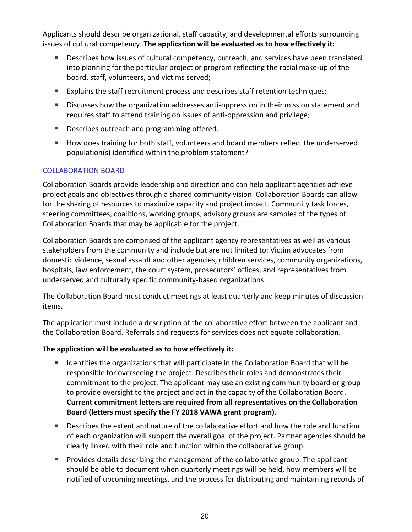Applicants should describe organizational, staff capacity, and developmental efforts surrounding issues of cultural competency. **The application will be evaluated as to how effectively it:**

- Describes how issues of cultural competency, outreach, and services have been translated into planning for the particular project or program reflecting the racial make-up of the board, staff, volunteers, and victims served;
- **Explains the staff recruitment process and describes staff retention techniques;**
- **Discusses how the organization addresses anti-oppression in their mission statement and** requires staff to attend training on issues of anti-oppression and privilege;
- **Describes outreach and programming offered.**
- **How does training for both staff, volunteers and board members reflect the underserved** population(s) identified within the problem statement?

# COLLABORATION BOARD

Collaboration Boards provide leadership and direction and can help applicant agencies achieve project goals and objectives through a shared community vision. Collaboration Boards can allow for the sharing of resources to maximize capacity and project impact. Community task forces, steering committees, coalitions, working groups, advisory groups are samples of the types of Collaboration Boards that may be applicable for the project.

Collaboration Boards are comprised of the applicant agency representatives as well as various stakeholders from the community and include but are not limited to: Victim advocates from domestic violence, sexual assault and other agencies, children services, community organizations, hospitals, law enforcement, the court system, prosecutors' offices, and representatives from underserved and culturally specific community-based organizations.

The Collaboration Board must conduct meetings at least quarterly and keep minutes of discussion items.

The application must include a description of the collaborative effort between the applicant and the Collaboration Board. Referrals and requests for services does not equate collaboration.

# **The application will be evaluated as to how effectively it:**

- **If all identifies the organizations that will participate in the Collaboration Board that will be** responsible for overseeing the project. Describes their roles and demonstrates their commitment to the project. The applicant may use an existing community board or group to provide oversight to the project and act in the capacity of the Collaboration Board. **Current commitment letters are required from all representatives on the Collaboration Board (letters must specify the FY 2018 VAWA grant program).**
- Describes the extent and nature of the collaborative effort and how the role and function of each organization will support the overall goal of the project. Partner agencies should be clearly linked with their role and function within the collaborative group.
- Provides details describing the management of the collaborative group. The applicant should be able to document when quarterly meetings will be held, how members will be notified of upcoming meetings, and the process for distributing and maintaining records of